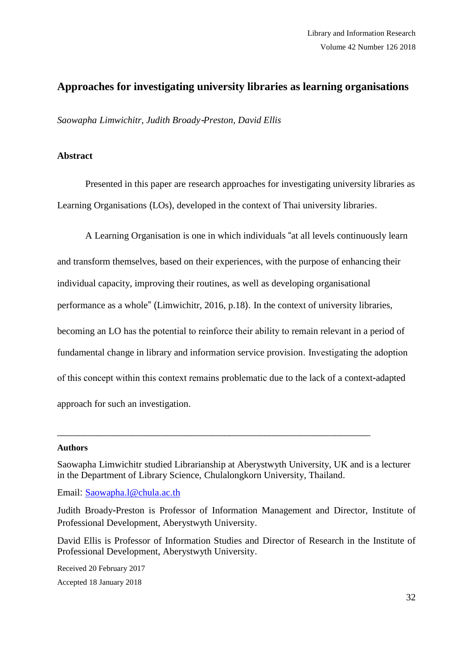# **Approaches for investigating university libraries as learning organisations**

*Saowapha Limwichitr, Judith Broady*-*Preston, David Ellis*

### **Abstract**

Presented in this paper are research approaches for investigating university libraries as Learning Organisations (LOs), developed in the context of Thai university libraries.

A Learning Organisation is one in which individuals "at all levels continuously learn and transform themselves, based on their experiences, with the purpose of enhancing their individual capacity, improving their routines, as well as developing organisational performance as a whole" (Limwichitr, 2016, p.18). In the context of university libraries, becoming an LO has the potential to reinforce their ability to remain relevant in a period of fundamental change in library and information service provision. Investigating the adoption of this concept within this context remains problematic due to the lack of a context-adapted approach for such an investigation.

#### **Authors**

Saowapha Limwichitr studied Librarianship at Aberystwyth University, UK and is a lecturer in the Department of Library Science, Chulalongkorn University, Thailand.

\_\_\_\_\_\_\_\_\_\_\_\_\_\_\_\_\_\_\_\_\_\_\_\_\_\_\_\_\_\_\_\_\_\_\_\_\_\_\_\_\_\_\_\_\_\_\_\_\_\_\_\_\_\_\_\_\_\_\_\_\_\_\_\_\_\_\_\_\_\_\_

Email: [Saowapha](mailto:Saowapha.l@chula.ac.th).l@chula.ac.th

Judith Broady-Preston is Professor of Information Management and Director, Institute of Professional Development, Aberystwyth University.

David Ellis is Professor of Information Studies and Director of Research in the Institute of Professional Development, Aberystwyth University.

Received 20 February 2017 Accepted 18 January 2018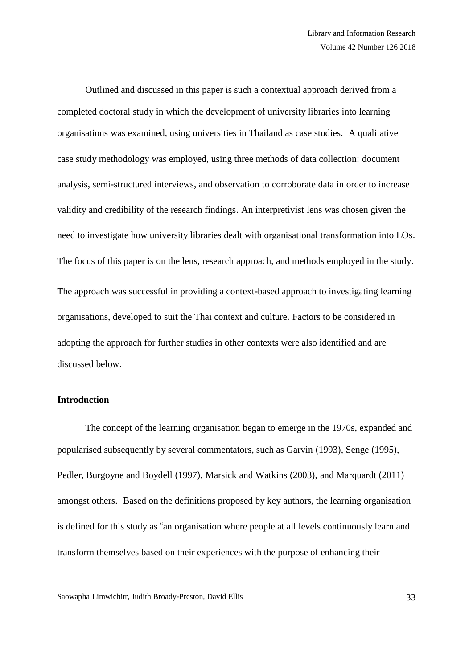Outlined and discussed in this paper is such a contextual approach derived from a completed doctoral study in which the development of university libraries into learning organisations was examined, using universities in Thailand as case studies. A qualitative case study methodology was employed, using three methods of data collection: document analysis, semi-structured interviews, and observation to corroborate data in order to increase validity and credibility of the research findings. An interpretivist lens was chosen given the need to investigate how university libraries dealt with organisational transformation into LOs. The focus of this paper is on the lens, research approach, and methods employed in the study. The approach was successful in providing a context-based approach to investigating learning organisations, developed to suit the Thai context and culture. Factors to be considered in adopting the approach for further studies in other contexts were also identified and are discussed below.

# **Introduction**

The concept of the learning organisation began to emerge in the 1970s, expanded and popularised subsequently by several commentators, such as Garvin (1993), Senge (1995), Pedler, Burgoyne and Boydell (1997), Marsick and Watkins (2003), and Marquardt (2011) amongst others. Based on the definitions proposed by key authors, the learning organisation is defined for this study as "an organisation where people at all levels continuously learn and transform themselves based on their experiences with the purpose of enhancing their

\_\_\_\_\_\_\_\_\_\_\_\_\_\_\_\_\_\_\_\_\_\_\_\_\_\_\_\_\_\_\_\_\_\_\_\_\_\_\_\_\_\_\_\_\_\_\_\_\_\_\_\_\_\_\_\_\_\_\_\_\_\_\_\_\_\_\_\_\_\_\_\_\_\_\_\_\_\_\_\_\_\_\_\_\_\_\_\_\_\_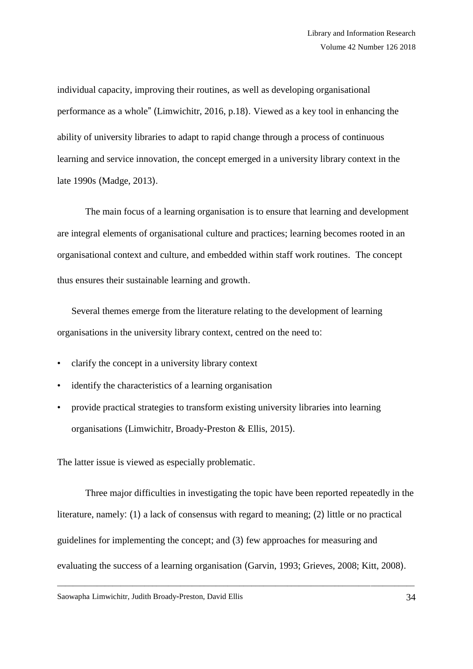individual capacity, improving their routines, as well as developing organisational performance as a whole" (Limwichitr, 2016, p.18). Viewed as a key tool in enhancing the ability of university libraries to adapt to rapid change through a process of continuous learning and service innovation, the concept emerged in a university library context in the late 1990s (Madge, 2013).

The main focus of a learning organisation is to ensure that learning and development are integral elements of organisational culture and practices; learning becomes rooted in an organisational context and culture, and embedded within staff work routines. The concept thus ensures their sustainable learning and growth.

Several themes emerge from the literature relating to the development of learning organisations in the university library context, centred on the need to:

- clarify the concept in a university library context
- identify the characteristics of a learning organisation
- provide practical strategies to transform existing university libraries into learning organisations (Limwichitr, Broady-Preston & Ellis, 2015).

The latter issue is viewed as especially problematic.

Three major difficulties in investigating the topic have been reported repeatedly in the literature, namely: (1) a lack of consensus with regard to meaning; (2) little or no practical guidelines for implementing the concept; and (3) few approaches for measuring and evaluating the success of a learning organisation (Garvin, 1993; Grieves, 2008; Kitt, 2008).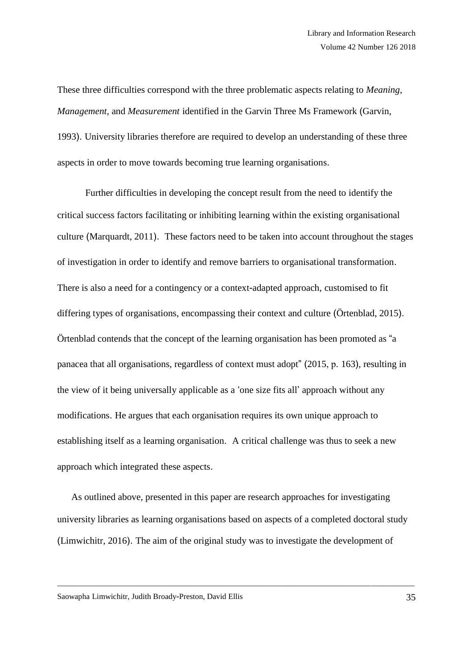These three difficulties correspond with the three problematic aspects relating to *Meaning, Management,* and *Measurement* identified in the Garvin Three Ms Framework (Garvin, 1993). University libraries therefore are required to develop an understanding of these three aspects in order to move towards becoming true learning organisations.

Further difficulties in developing the concept result from the need to identify the critical success factors facilitating or inhibiting learning within the existing organisational culture (Marquardt, 2011). These factors need to be taken into account throughout the stages of investigation in order to identify and remove barriers to organisational transformation. There is also a need for a contingency or a context-adapted approach, customised to fit differing types of organisations, encompassing their context and culture (Örtenblad, 2015). Örtenblad contends that the concept of the learning organisation has been promoted as "a panacea that all organisations, regardless of context must adopt" (2015, p. 163), resulting in the view of it being universally applicable as a 'one size fits all' approach without any modifications. He argues that each organisation requires its own unique approach to establishing itself as a learning organisation. A critical challenge was thus to seek a new approach which integrated these aspects.

As outlined above, presented in this paper are research approaches for investigating university libraries as learning organisations based on aspects of a completed doctoral study (Limwichitr, 2016). The aim of the original study was to investigate the development of

\_\_\_\_\_\_\_\_\_\_\_\_\_\_\_\_\_\_\_\_\_\_\_\_\_\_\_\_\_\_\_\_\_\_\_\_\_\_\_\_\_\_\_\_\_\_\_\_\_\_\_\_\_\_\_\_\_\_\_\_\_\_\_\_\_\_\_\_\_\_\_\_\_\_\_\_\_\_\_\_\_\_\_\_\_\_\_\_\_\_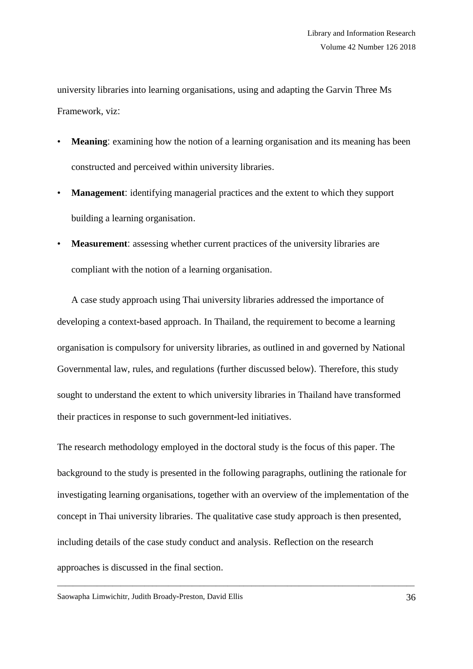university libraries into learning organisations, using and adapting the Garvin Three Ms Framework, viz:

- **Meaning:** examining how the notion of a learning organisation and its meaning has been constructed and perceived within university libraries.
- **Management**: identifying managerial practices and the extent to which they support building a learning organisation.
- **Measurement**: assessing whether current practices of the university libraries are compliant with the notion of a learning organisation.

A case study approach using Thai university libraries addressed the importance of developing a context-based approach. In Thailand, the requirement to become a learning organisation is compulsory for university libraries, as outlined in and governed by National Governmental law, rules, and regulations (further discussed below). Therefore, this study sought to understand the extent to which university libraries in Thailand have transformed their practices in response to such government-led initiatives.

The research methodology employed in the doctoral study is the focus of this paper. The background to the study is presented in the following paragraphs, outlining the rationale for investigating learning organisations, together with an overview of the implementation of the concept in Thai university libraries. The qualitative case study approach is then presented, including details of the case study conduct and analysis. Reflection on the research approaches is discussed in the final section.

\_\_\_\_\_\_\_\_\_\_\_\_\_\_\_\_\_\_\_\_\_\_\_\_\_\_\_\_\_\_\_\_\_\_\_\_\_\_\_\_\_\_\_\_\_\_\_\_\_\_\_\_\_\_\_\_\_\_\_\_\_\_\_\_\_\_\_\_\_\_\_\_\_\_\_\_\_\_\_\_\_\_\_\_\_\_\_\_\_\_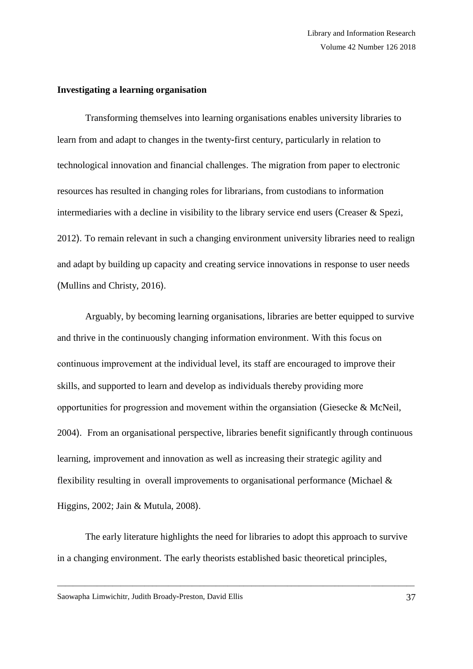#### **Investigating a learning organisation**

Transforming themselves into learning organisations enables university libraries to learn from and adapt to changes in the twenty-first century, particularly in relation to technological innovation and financial challenges. The migration from paper to electronic resources has resulted in changing roles for librarians, from custodians to information intermediaries with a decline in visibility to the library service end users (Creaser & Spezi, 2012). To remain relevant in such a changing environment university libraries need to realign and adapt by building up capacity and creating service innovations in response to user needs (Mullins and Christy, 2016).

Arguably, by becoming learning organisations, libraries are better equipped to survive and thrive in the continuously changing information environment. With this focus on continuous improvement at the individual level, its staff are encouraged to improve their skills, and supported to learn and develop as individuals thereby providing more opportunities for progression and movement within the organsiation (Giesecke & McNeil, 2004). From an organisational perspective, libraries benefit significantly through continuous learning, improvement and innovation as well as increasing their strategic agility and flexibility resulting in overall improvements to organisational performance (Michael  $\&$ Higgins, 2002; Jain & Mutula, 2008).

The early literature highlights the need for libraries to adopt this approach to survive in a changing environment. The early theorists established basic theoretical principles,

\_\_\_\_\_\_\_\_\_\_\_\_\_\_\_\_\_\_\_\_\_\_\_\_\_\_\_\_\_\_\_\_\_\_\_\_\_\_\_\_\_\_\_\_\_\_\_\_\_\_\_\_\_\_\_\_\_\_\_\_\_\_\_\_\_\_\_\_\_\_\_\_\_\_\_\_\_\_\_\_\_\_\_\_\_\_\_\_\_\_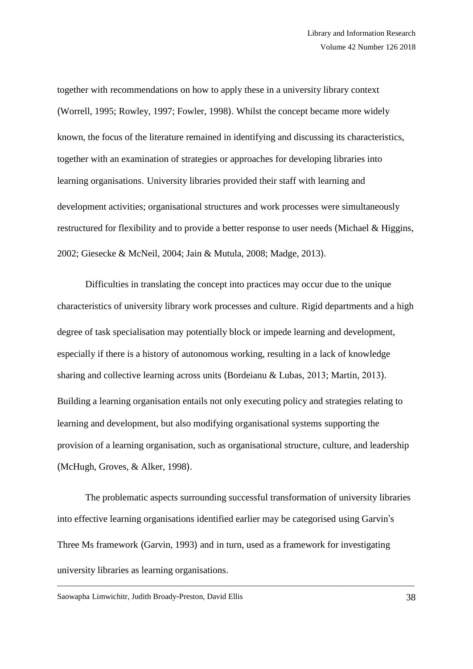together with recommendations on how to apply these in a university library context (Worrell, 1995; Rowley, 1997; Fowler, 1998). Whilst the concept became more widely known, the focus of the literature remained in identifying and discussing its characteristics, together with an examination of strategies or approaches for developing libraries into learning organisations. University libraries provided their staff with learning and development activities; organisational structures and work processes were simultaneously restructured for flexibility and to provide a better response to user needs (Michael & Higgins, 2002; Giesecke & McNeil, 2004; Jain & Mutula, 2008; Madge, 2013).

Difficulties in translating the concept into practices may occur due to the unique characteristics of university library work processes and culture. Rigid departments and a high degree of task specialisation may potentially block or impede learning and development, especially if there is a history of autonomous working, resulting in a lack of knowledge sharing and collective learning across units (Bordeianu & Lubas, 2013; Martin, 2013). Building a learning organisation entails not only executing policy and strategies relating to learning and development, but also modifying organisational systems supporting the provision of a learning organisation, such as organisational structure, culture, and leadership (McHugh, Groves, & Alker, 1998).

The problematic aspects surrounding successful transformation of university libraries into effective learning organisations identified earlier may be categorised using Garvin's Three Ms framework (Garvin, 1993) and in turn, used as a framework for investigating university libraries as learning organisations.

\_\_\_\_\_\_\_\_\_\_\_\_\_\_\_\_\_\_\_\_\_\_\_\_\_\_\_\_\_\_\_\_\_\_\_\_\_\_\_\_\_\_\_\_\_\_\_\_\_\_\_\_\_\_\_\_\_\_\_\_\_\_\_\_\_\_\_\_\_\_\_\_\_\_\_\_\_\_\_\_\_\_\_\_\_\_\_\_\_\_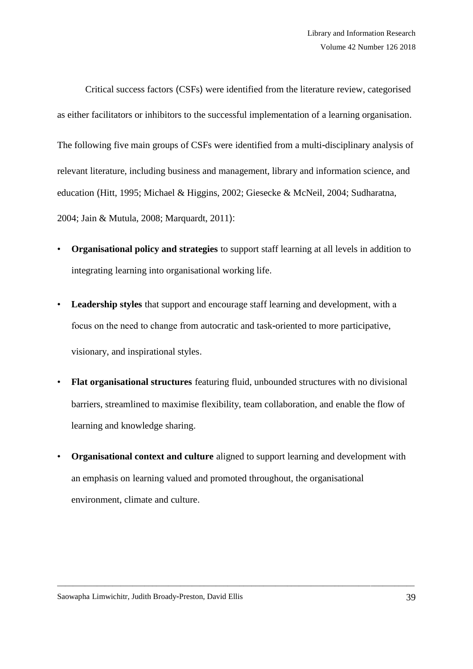Critical success factors (CSFs) were identified from the literature review, categorised as either facilitators or inhibitors to the successful implementation of a learning organisation. The following five main groups of CSFs were identified from a multi-disciplinary analysis of relevant literature, including business and management, library and information science, and education (Hitt, 1995; Michael & Higgins, 2002; Giesecke & McNeil, 2004; Sudharatna, 2004; Jain & Mutula, 2008; Marquardt, 2011):

- **Organisational policy and strategies** to support staff learning at all levels in addition to integrating learning into organisational working life.
- **Leadership styles** that support and encourage staff learning and development, with a focus on the need to change from autocratic and task-oriented to more participative, visionary, and inspirational styles.
- **Flat organisational structures** featuring fluid, unbounded structures with no divisional barriers, streamlined to maximise flexibility, team collaboration, and enable the flow of learning and knowledge sharing.
- **Organisational context and culture** aligned to support learning and development with an emphasis on learning valued and promoted throughout, the organisational environment, climate and culture.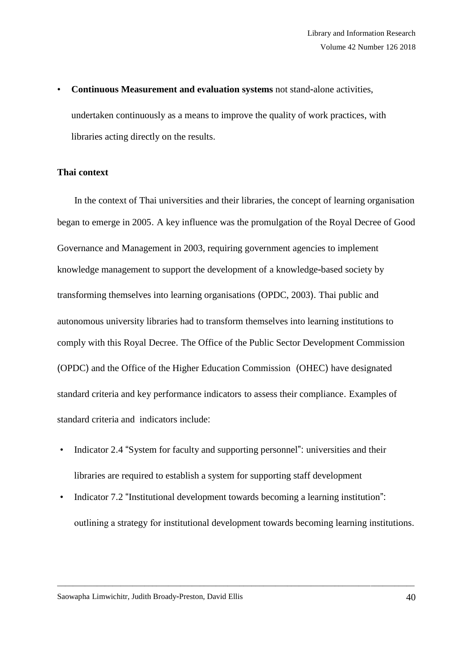• **Continuous Measurement and evaluation systems** not stand-alone activities, undertaken continuously as a means to improve the quality of work practices, with libraries acting directly on the results.

# **Thai context**

 In the context of Thai universities and their libraries, the concept of learning organisation began to emerge in 2005. A key influence was the promulgation of the Royal Decree of Good Governance and Management in 2003, requiring government agencies to implement knowledge management to support the development of a knowledge-based society by transforming themselves into learning organisations (OPDC, 2003). Thai public and autonomous university libraries had to transform themselves into learning institutions to comply with this Royal Decree. The Office of the Public Sector Development Commission (OPDC) and the Office of the Higher Education Commission (OHEC) have designated standard criteria and key performance indicators to assess their compliance. Examples of standard criteria and indicators include:

- Indicator 2.4 "System for faculty and supporting personnel": universities and their libraries are required to establish a system for supporting staff development
- Indicator 7.2 "Institutional development towards becoming a learning institution": outlining a strategy for institutional development towards becoming learning institutions.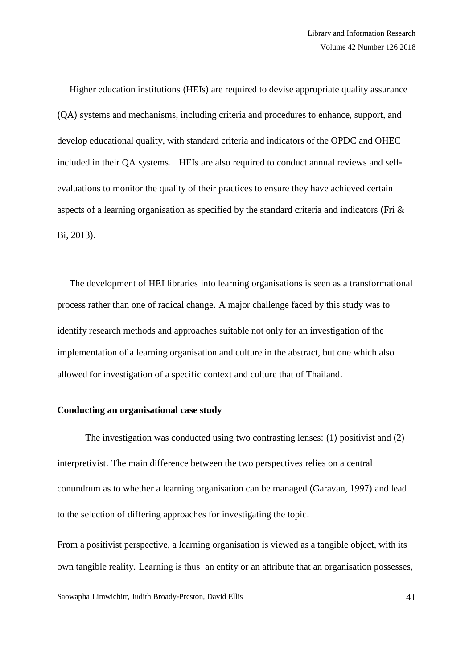Higher education institutions (HEIs) are required to devise appropriate quality assurance (QA) systems and mechanisms, including criteria and procedures to enhance, support, and develop educational quality, with standard criteria and indicators of the OPDC and OHEC included in their QA systems. HEIs are also required to conduct annual reviews and selfevaluations to monitor the quality of their practices to ensure they have achieved certain aspects of a learning organisation as specified by the standard criteria and indicators (Fri & Bi, 2013).

 The development of HEI libraries into learning organisations is seen as a transformational process rather than one of radical change. A major challenge faced by this study was to identify research methods and approaches suitable not only for an investigation of the implementation of a learning organisation and culture in the abstract, but one which also allowed for investigation of a specific context and culture that of Thailand.

# **Conducting an organisational case study**

The investigation was conducted using two contrasting lenses: (1) positivist and (2) interpretivist. The main difference between the two perspectives relies on a central conundrum as to whether a learning organisation can be managed (Garavan, 1997) and lead to the selection of differing approaches for investigating the topic.

From a positivist perspective, a learning organisation is viewed as a tangible object, with its own tangible reality. Learning is thus an entity or an attribute that an organisation possesses,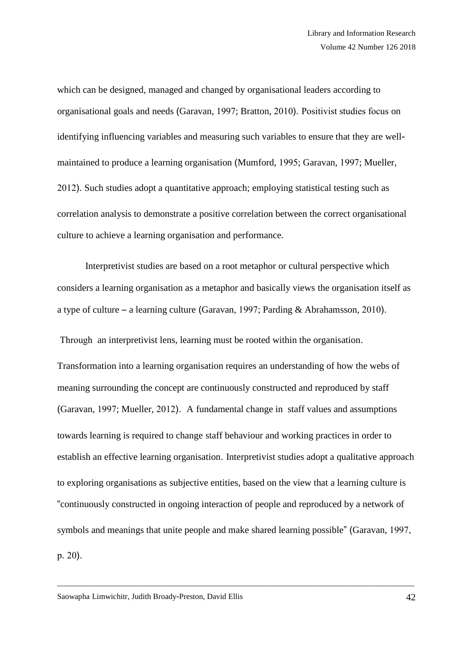which can be designed, managed and changed by organisational leaders according to organisational goals and needs (Garavan, 1997; Bratton, 2010). Positivist studies focus on identifying influencing variables and measuring such variables to ensure that they are wellmaintained to produce a learning organisation (Mumford, 1995; Garavan, 1997; Mueller, 2012). Such studies adopt a quantitative approach; employing statistical testing such as correlation analysis to demonstrate a positive correlation between the correct organisational culture to achieve a learning organisation and performance.

Interpretivist studies are based on a root metaphor or cultural perspective which considers a learning organisation as a metaphor and basically views the organisation itself as a type of culture – a learning culture (Garavan, 1997; Parding & Abrahamsson, 2010).

Through an interpretivist lens, learning must be rooted within the organisation.

Transformation into a learning organisation requires an understanding of how the webs of meaning surrounding the concept are continuously constructed and reproduced by staff (Garavan, 1997; Mueller, 2012). A fundamental change in staff values and assumptions towards learning is required to change staff behaviour and working practices in order to establish an effective learning organisation. Interpretivist studies adopt a qualitative approach to exploring organisations as subjective entities, based on the view that a learning culture is "continuously constructed in ongoing interaction of people and reproduced by a network of symbols and meanings that unite people and make shared learning possible" (Garavan, 1997, p. 20).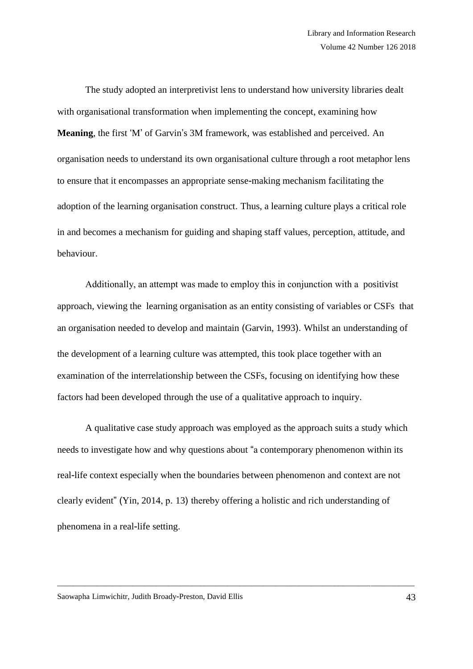The study adopted an interpretivist lens to understand how university libraries dealt with organisational transformation when implementing the concept, examining how **Meaning**, the first 'M' of Garvin's 3M framework, was established and perceived. An organisation needs to understand its own organisational culture through a root metaphor lens to ensure that it encompasses an appropriate sense-making mechanism facilitating the adoption of the learning organisation construct. Thus, a learning culture plays a critical role in and becomes a mechanism for guiding and shaping staff values, perception, attitude, and behaviour.

Additionally, an attempt was made to employ this in conjunction with a positivist approach, viewing the learning organisation as an entity consisting of variables or CSFs that an organisation needed to develop and maintain (Garvin, 1993). Whilst an understanding of the development of a learning culture was attempted, this took place together with an examination of the interrelationship between the CSFs, focusing on identifying how these factors had been developed through the use of a qualitative approach to inquiry.

A qualitative case study approach was employed as the approach suits a study which needs to investigate how and why questions about "a contemporary phenomenon within its real-life context especially when the boundaries between phenomenon and context are not clearly evident" (Yin, 2014, p. 13) thereby offering a holistic and rich understanding of phenomena in a real-life setting.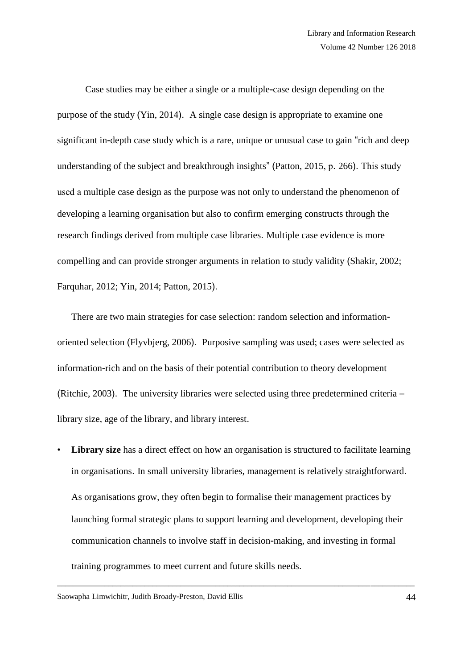Case studies may be either a single or a multiple-case design depending on the purpose of the study (Yin, 2014). A single case design is appropriate to examine one significant in-depth case study which is a rare, unique or unusual case to gain "rich and deep understanding of the subject and breakthrough insights" (Patton, 2015, p. 266). This study used a multiple case design as the purpose was not only to understand the phenomenon of developing a learning organisation but also to confirm emerging constructs through the research findings derived from multiple case libraries. Multiple case evidence is more compelling and can provide stronger arguments in relation to study validity (Shakir, 2002; Farquhar, 2012; Yin, 2014; Patton, 2015).

There are two main strategies for case selection: random selection and informationoriented selection (Flyvbjerg, 2006). Purposive sampling was used; cases were selected as information-rich and on the basis of their potential contribution to theory development (Ritchie, 2003). The university libraries were selected using three predetermined criteria – library size, age of the library, and library interest.

**Library size** has a direct effect on how an organisation is structured to facilitate learning in organisations. In small university libraries, management is relatively straightforward. As organisations grow, they often begin to formalise their management practices by launching formal strategic plans to support learning and development, developing their communication channels to involve staff in decision-making, and investing in formal training programmes to meet current and future skills needs.

\_\_\_\_\_\_\_\_\_\_\_\_\_\_\_\_\_\_\_\_\_\_\_\_\_\_\_\_\_\_\_\_\_\_\_\_\_\_\_\_\_\_\_\_\_\_\_\_\_\_\_\_\_\_\_\_\_\_\_\_\_\_\_\_\_\_\_\_\_\_\_\_\_\_\_\_\_\_\_\_\_\_\_\_\_\_\_\_\_\_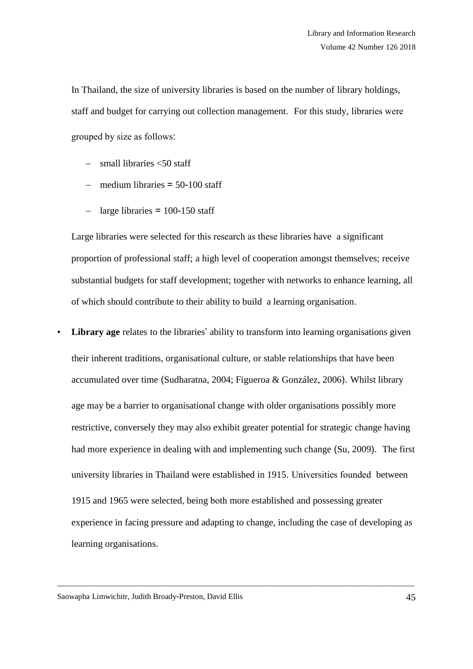In Thailand, the size of university libraries is based on the number of library holdings, staff and budget for carrying out collection management. For this study, libraries were grouped by size as follows:

- small libraries <50 staff
- $-$  medium libraries  $=$  50-100 staff
- $-$  large libraries  $= 100 150$  staff

Large libraries were selected for this research as these libraries have a significant proportion of professional staff; a high level of cooperation amongst themselves; receive substantial budgets for staff development; together with networks to enhance learning, all of which should contribute to their ability to build a learning organisation.

**Library age** relates to the libraries' ability to transform into learning organisations given their inherent traditions, organisational culture, or stable relationships that have been accumulated over time (Sudharatna, 2004; Figueroa & González, 2006). Whilst library age may be a barrier to organisational change with older organisations possibly more restrictive, conversely they may also exhibit greater potential for strategic change having had more experience in dealing with and implementing such change (Su, 2009). The first university libraries in Thailand were established in 1915. Universities founded between 1915 and 1965 were selected, being both more established and possessing greater experience in facing pressure and adapting to change, including the case of developing as learning organisations.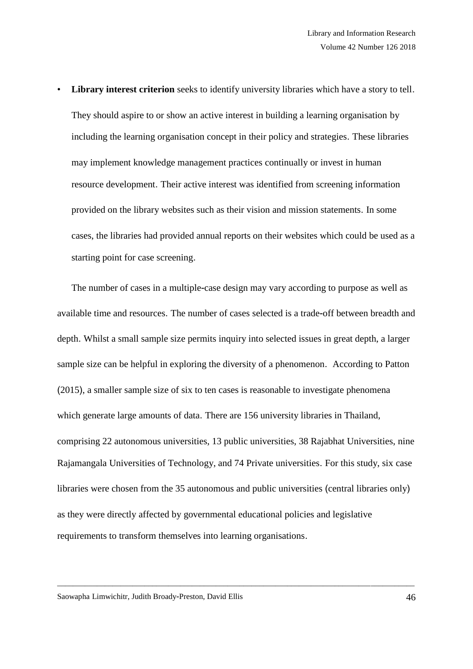**Library interest criterion** seeks to identify university libraries which have a story to tell. They should aspire to or show an active interest in building a learning organisation by including the learning organisation concept in their policy and strategies. These libraries may implement knowledge management practices continually or invest in human resource development. Their active interest was identified from screening information provided on the library websites such as their vision and mission statements. In some cases, the libraries had provided annual reports on their websites which could be used as a starting point for case screening.

The number of cases in a multiple-case design may vary according to purpose as well as available time and resources. The number of cases selected is a trade-off between breadth and depth. Whilst a small sample size permits inquiry into selected issues in great depth, a larger sample size can be helpful in exploring the diversity of a phenomenon. According to Patton (2015), a smaller sample size of six to ten cases is reasonable to investigate phenomena which generate large amounts of data. There are 156 university libraries in Thailand, comprising 22 autonomous universities, 13 public universities, 38 Rajabhat Universities, nine Rajamangala Universities of Technology, and 74 Private universities. For this study, six case libraries were chosen from the 35 autonomous and public universities (central libraries only) as they were directly affected by governmental educational policies and legislative requirements to transform themselves into learning organisations.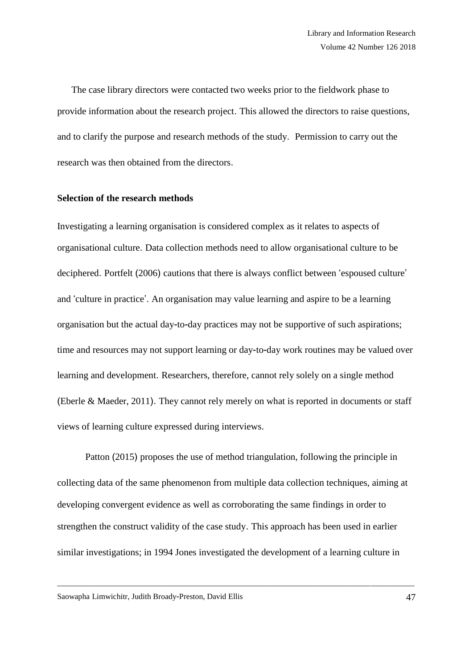The case library directors were contacted two weeks prior to the fieldwork phase to provide information about the research project. This allowed the directors to raise questions, and to clarify the purpose and research methods of the study. Permission to carry out the research was then obtained from the directors.

#### **Selection of the research methods**

Investigating a learning organisation is considered complex as it relates to aspects of organisational culture. Data collection methods need to allow organisational culture to be deciphered. Portfelt (2006) cautions that there is always conflict between 'espoused culture' and 'culture in practice'. An organisation may value learning and aspire to be a learning organisation but the actual day-to-day practices may not be supportive of such aspirations; time and resources may not support learning or day-to-day work routines may be valued over learning and development. Researchers, therefore, cannot rely solely on a single method (Eberle & Maeder, 2011). They cannot rely merely on what is reported in documents or staff views of learning culture expressed during interviews.

Patton (2015) proposes the use of method triangulation, following the principle in collecting data of the same phenomenon from multiple data collection techniques, aiming at developing convergent evidence as well as corroborating the same findings in order to strengthen the construct validity of the case study. This approach has been used in earlier similar investigations; in 1994 Jones investigated the development of a learning culture in

\_\_\_\_\_\_\_\_\_\_\_\_\_\_\_\_\_\_\_\_\_\_\_\_\_\_\_\_\_\_\_\_\_\_\_\_\_\_\_\_\_\_\_\_\_\_\_\_\_\_\_\_\_\_\_\_\_\_\_\_\_\_\_\_\_\_\_\_\_\_\_\_\_\_\_\_\_\_\_\_\_\_\_\_\_\_\_\_\_\_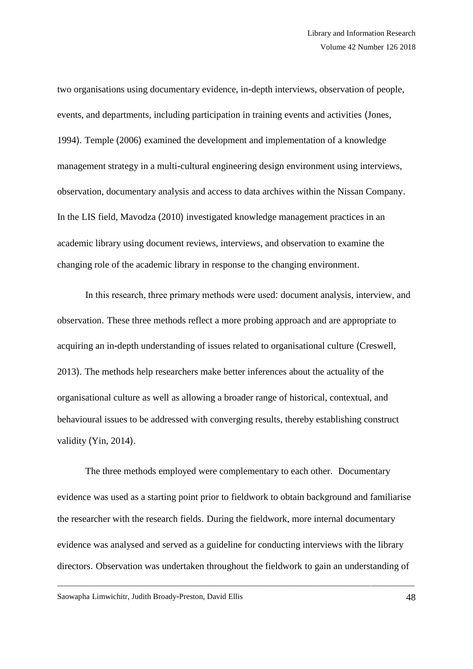two organisations using documentary evidence, in-depth interviews, observation of people, events, and departments, including participation in training events and activities (Jones, 1994). Temple (2006) examined the development and implementation of a knowledge management strategy in a multi-cultural engineering design environment using interviews, observation, documentary analysis and access to data archives within the Nissan Company. In the LIS field, Mavodza (2010) investigated knowledge management practices in an academic library using document reviews, interviews, and observation to examine the changing role of the academic library in response to the changing environment.

In this research, three primary methods were used: document analysis, interview, and observation. These three methods reflect a more probing approach and are appropriate to acquiring an in-depth understanding of issues related to organisational culture (Creswell, 2013). The methods help researchers make better inferences about the actuality of the organisational culture as well as allowing a broader range of historical, contextual, and behavioural issues to be addressed with converging results, thereby establishing construct validity (Yin, 2014).

The three methods employed were complementary to each other. Documentary evidence was used as a starting point prior to fieldwork to obtain background and familiarise the researcher with the research fields. During the fieldwork, more internal documentary evidence was analysed and served as a guideline for conducting interviews with the library directors. Observation was undertaken throughout the fieldwork to gain an understanding of

\_\_\_\_\_\_\_\_\_\_\_\_\_\_\_\_\_\_\_\_\_\_\_\_\_\_\_\_\_\_\_\_\_\_\_\_\_\_\_\_\_\_\_\_\_\_\_\_\_\_\_\_\_\_\_\_\_\_\_\_\_\_\_\_\_\_\_\_\_\_\_\_\_\_\_\_\_\_\_\_\_\_\_\_\_\_\_\_\_\_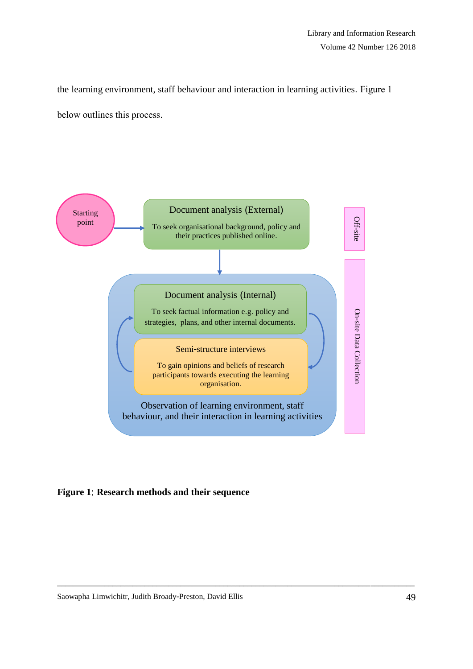the learning environment, staff behaviour and interaction in learning activities. Figure 1 below outlines this process.



**Figure 1**: **Research methods and their sequence**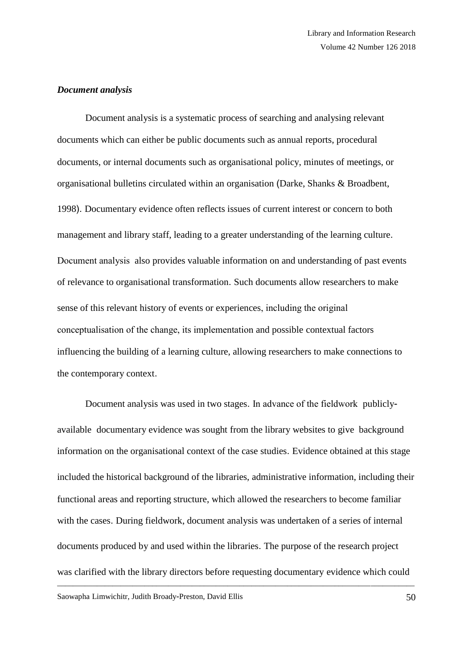#### *Document analysis*

Document analysis is a systematic process of searching and analysing relevant documents which can either be public documents such as annual reports, procedural documents, or internal documents such as organisational policy, minutes of meetings, or organisational bulletins circulated within an organisation (Darke, Shanks & Broadbent, 1998). Documentary evidence often reflects issues of current interest or concern to both management and library staff, leading to a greater understanding of the learning culture. Document analysis also provides valuable information on and understanding of past events of relevance to organisational transformation. Such documents allow researchers to make sense of this relevant history of events or experiences, including the original conceptualisation of the change, its implementation and possible contextual factors influencing the building of a learning culture, allowing researchers to make connections to the contemporary context.

\_\_\_\_\_\_\_\_\_\_\_\_\_\_\_\_\_\_\_\_\_\_\_\_\_\_\_\_\_\_\_\_\_\_\_\_\_\_\_\_\_\_\_\_\_\_\_\_\_\_\_\_\_\_\_\_\_\_\_\_\_\_\_\_\_\_\_\_\_\_\_\_\_\_\_\_\_\_\_\_\_\_\_\_\_\_\_\_\_\_ Document analysis was used in two stages. In advance of the fieldwork publiclyavailable documentary evidence was sought from the library websites to give background information on the organisational context of the case studies. Evidence obtained at this stage included the historical background of the libraries, administrative information, including their functional areas and reporting structure, which allowed the researchers to become familiar with the cases. During fieldwork, document analysis was undertaken of a series of internal documents produced by and used within the libraries. The purpose of the research project was clarified with the library directors before requesting documentary evidence which could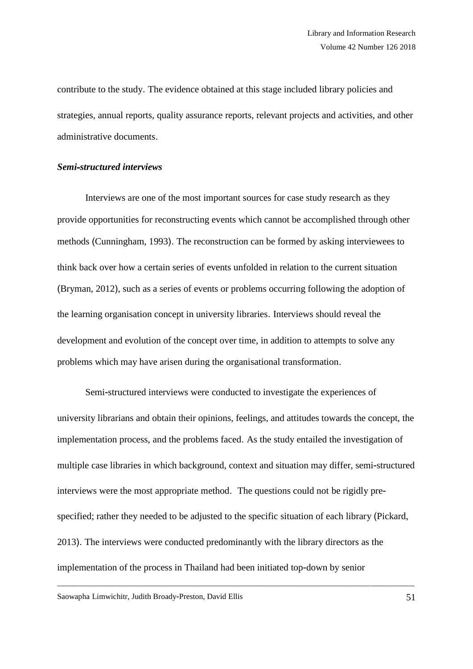contribute to the study. The evidence obtained at this stage included library policies and strategies, annual reports, quality assurance reports, relevant projects and activities, and other administrative documents.

#### *Semi*-*structured interviews*

Interviews are one of the most important sources for case study research as they provide opportunities for reconstructing events which cannot be accomplished through other methods (Cunningham, 1993). The reconstruction can be formed by asking interviewees to think back over how a certain series of events unfolded in relation to the current situation (Bryman, 2012), such as a series of events or problems occurring following the adoption of the learning organisation concept in university libraries. Interviews should reveal the development and evolution of the concept over time, in addition to attempts to solve any problems which may have arisen during the organisational transformation.

Semi-structured interviews were conducted to investigate the experiences of university librarians and obtain their opinions, feelings, and attitudes towards the concept, the implementation process, and the problems faced. As the study entailed the investigation of multiple case libraries in which background, context and situation may differ, semi-structured interviews were the most appropriate method. The questions could not be rigidly prespecified; rather they needed to be adjusted to the specific situation of each library (Pickard, 2013). The interviews were conducted predominantly with the library directors as the implementation of the process in Thailand had been initiated top-down by senior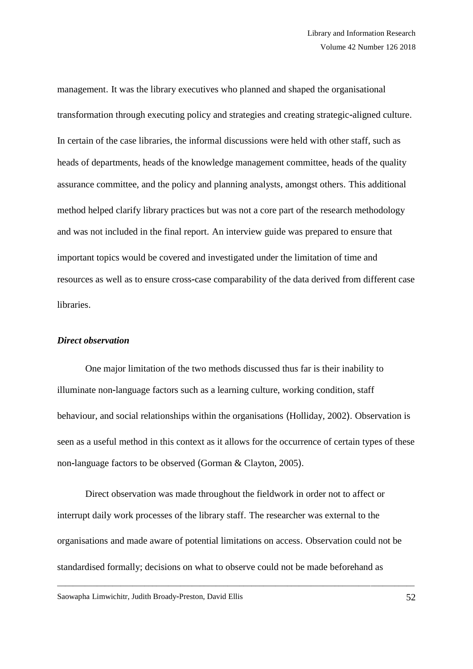management. It was the library executives who planned and shaped the organisational transformation through executing policy and strategies and creating strategic-aligned culture. In certain of the case libraries, the informal discussions were held with other staff, such as heads of departments, heads of the knowledge management committee, heads of the quality assurance committee, and the policy and planning analysts, amongst others. This additional method helped clarify library practices but was not a core part of the research methodology and was not included in the final report. An interview guide was prepared to ensure that important topics would be covered and investigated under the limitation of time and resources as well as to ensure cross-case comparability of the data derived from different case libraries.

#### *Direct observation*

One major limitation of the two methods discussed thus far is their inability to illuminate non-language factors such as a learning culture, working condition, staff behaviour, and social relationships within the organisations (Holliday, 2002). Observation is seen as a useful method in this context as it allows for the occurrence of certain types of these non-language factors to be observed (Gorman & Clayton, 2005).

Direct observation was made throughout the fieldwork in order not to affect or interrupt daily work processes of the library staff. The researcher was external to the organisations and made aware of potential limitations on access. Observation could not be standardised formally; decisions on what to observe could not be made beforehand as

\_\_\_\_\_\_\_\_\_\_\_\_\_\_\_\_\_\_\_\_\_\_\_\_\_\_\_\_\_\_\_\_\_\_\_\_\_\_\_\_\_\_\_\_\_\_\_\_\_\_\_\_\_\_\_\_\_\_\_\_\_\_\_\_\_\_\_\_\_\_\_\_\_\_\_\_\_\_\_\_\_\_\_\_\_\_\_\_\_\_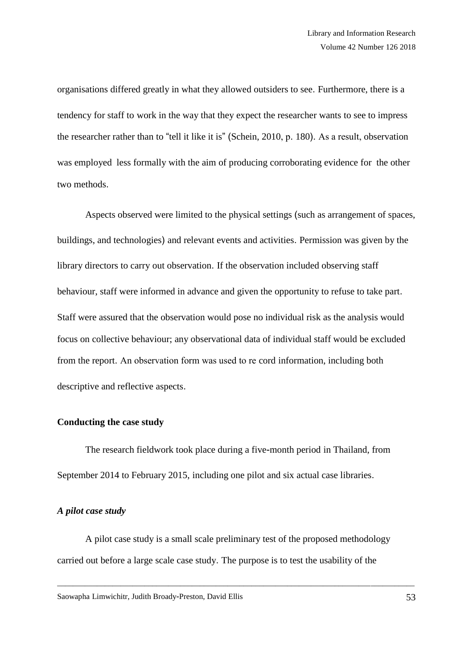organisations differed greatly in what they allowed outsiders to see. Furthermore, there is a tendency for staff to work in the way that they expect the researcher wants to see to impress the researcher rather than to "tell it like it is" (Schein, 2010, p. 180). As a result, observation was employed less formally with the aim of producing corroborating evidence for the other two methods.

Aspects observed were limited to the physical settings (such as arrangement of spaces, buildings, and technologies) and relevant events and activities. Permission was given by the library directors to carry out observation. If the observation included observing staff behaviour, staff were informed in advance and given the opportunity to refuse to take part. Staff were assured that the observation would pose no individual risk as the analysis would focus on collective behaviour; any observational data of individual staff would be excluded from the report. An observation form was used to re cord information, including both descriptive and reflective aspects.

## **Conducting the case study**

The research fieldwork took place during a five-month period in Thailand, from September 2014 to February 2015, including one pilot and six actual case libraries.

#### *A pilot case study*

A pilot case study is a small scale preliminary test of the proposed methodology carried out before a large scale case study. The purpose is to test the usability of the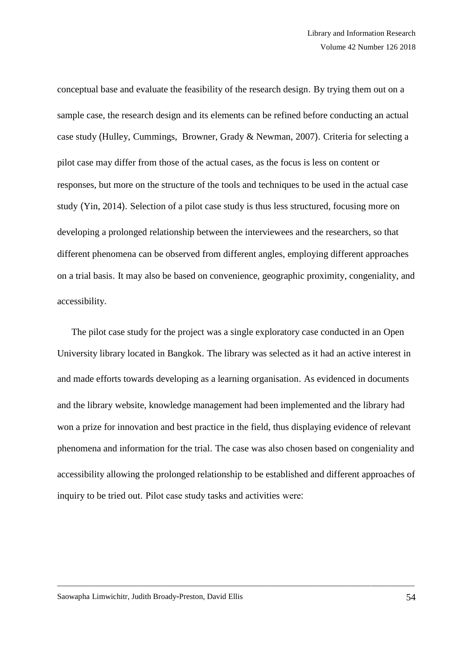conceptual base and evaluate the feasibility of the research design. By trying them out on a sample case, the research design and its elements can be refined before conducting an actual case study (Hulley, Cummings, Browner, Grady & Newman, 2007). Criteria for selecting a pilot case may differ from those of the actual cases, as the focus is less on content or responses, but more on the structure of the tools and techniques to be used in the actual case study (Yin, 2014). Selection of a pilot case study is thus less structured, focusing more on developing a prolonged relationship between the interviewees and the researchers, so that different phenomena can be observed from different angles, employing different approaches on a trial basis. It may also be based on convenience, geographic proximity, congeniality, and accessibility.

The pilot case study for the project was a single exploratory case conducted in an Open University library located in Bangkok. The library was selected as it had an active interest in and made efforts towards developing as a learning organisation. As evidenced in documents and the library website, knowledge management had been implemented and the library had won a prize for innovation and best practice in the field, thus displaying evidence of relevant phenomena and information for the trial. The case was also chosen based on congeniality and accessibility allowing the prolonged relationship to be established and different approaches of inquiry to be tried out. Pilot case study tasks and activities were: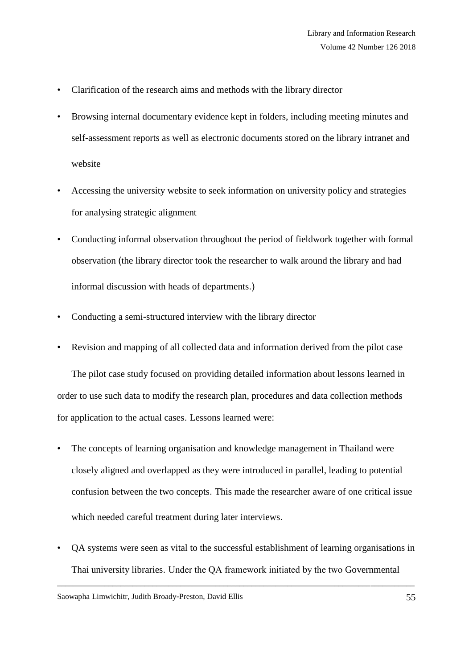- Clarification of the research aims and methods with the library director
- Browsing internal documentary evidence kept in folders, including meeting minutes and self-assessment reports as well as electronic documents stored on the library intranet and website
- Accessing the university website to seek information on university policy and strategies for analysing strategic alignment
- Conducting informal observation throughout the period of fieldwork together with formal observation (the library director took the researcher to walk around the library and had informal discussion with heads of departments.)
- Conducting a semi-structured interview with the library director
- Revision and mapping of all collected data and information derived from the pilot case

The pilot case study focused on providing detailed information about lessons learned in order to use such data to modify the research plan, procedures and data collection methods for application to the actual cases. Lessons learned were:

- The concepts of learning organisation and knowledge management in Thailand were closely aligned and overlapped as they were introduced in parallel, leading to potential confusion between the two concepts. This made the researcher aware of one critical issue which needed careful treatment during later interviews.
- QA systems were seen as vital to the successful establishment of learning organisations in Thai university libraries. Under the QA framework initiated by the two Governmental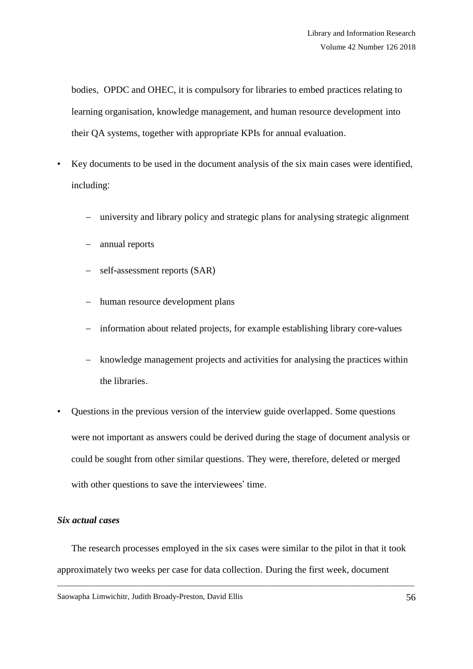bodies, OPDC and OHEC, it is compulsory for libraries to embed practices relating to learning organisation, knowledge management, and human resource development into their QA systems, together with appropriate KPIs for annual evaluation.

- Key documents to be used in the document analysis of the six main cases were identified, including:
	- university and library policy and strategic plans for analysing strategic alignment
	- annual reports
	- self-assessment reports (SAR)
	- human resource development plans
	- information about related projects, for example establishing library core-values
	- knowledge management projects and activities for analysing the practices within the libraries.
- Questions in the previous version of the interview guide overlapped. Some questions were not important as answers could be derived during the stage of document analysis or could be sought from other similar questions. They were, therefore, deleted or merged with other questions to save the interviewees' time.

## *Six actual cases*

The research processes employed in the six cases were similar to the pilot in that it took approximately two weeks per case for data collection. During the first week, document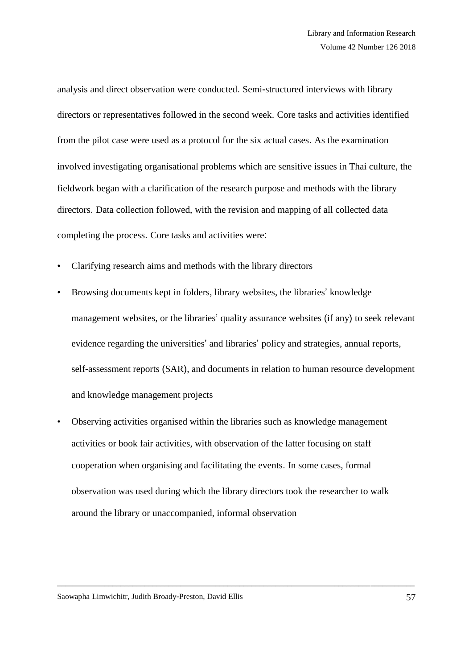analysis and direct observation were conducted. Semi-structured interviews with library directors or representatives followed in the second week. Core tasks and activities identified from the pilot case were used as a protocol for the six actual cases. As the examination involved investigating organisational problems which are sensitive issues in Thai culture, the fieldwork began with a clarification of the research purpose and methods with the library directors. Data collection followed, with the revision and mapping of all collected data completing the process. Core tasks and activities were:

- Clarifying research aims and methods with the library directors
- Browsing documents kept in folders, library websites, the libraries' knowledge management websites, or the libraries' quality assurance websites (if any) to seek relevant evidence regarding the universities' and libraries' policy and strategies, annual reports, self-assessment reports (SAR), and documents in relation to human resource development and knowledge management projects
- Observing activities organised within the libraries such as knowledge management activities or book fair activities, with observation of the latter focusing on staff cooperation when organising and facilitating the events. In some cases, formal observation was used during which the library directors took the researcher to walk around the library or unaccompanied, informal observation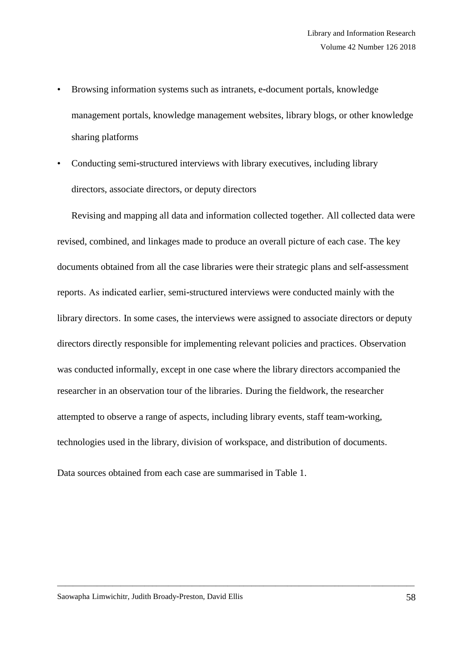- Browsing information systems such as intranets, e-document portals, knowledge management portals, knowledge management websites, library blogs, or other knowledge sharing platforms
- Conducting semi-structured interviews with library executives, including library directors, associate directors, or deputy directors

Revising and mapping all data and information collected together. All collected data were revised, combined, and linkages made to produce an overall picture of each case. The key documents obtained from all the case libraries were their strategic plans and self-assessment reports. As indicated earlier, semi-structured interviews were conducted mainly with the library directors. In some cases, the interviews were assigned to associate directors or deputy directors directly responsible for implementing relevant policies and practices. Observation was conducted informally, except in one case where the library directors accompanied the researcher in an observation tour of the libraries. During the fieldwork, the researcher attempted to observe a range of aspects, including library events, staff team-working, technologies used in the library, division of workspace, and distribution of documents.

\_\_\_\_\_\_\_\_\_\_\_\_\_\_\_\_\_\_\_\_\_\_\_\_\_\_\_\_\_\_\_\_\_\_\_\_\_\_\_\_\_\_\_\_\_\_\_\_\_\_\_\_\_\_\_\_\_\_\_\_\_\_\_\_\_\_\_\_\_\_\_\_\_\_\_\_\_\_\_\_\_\_\_\_\_\_\_\_\_\_

Data sources obtained from each case are summarised in Table 1.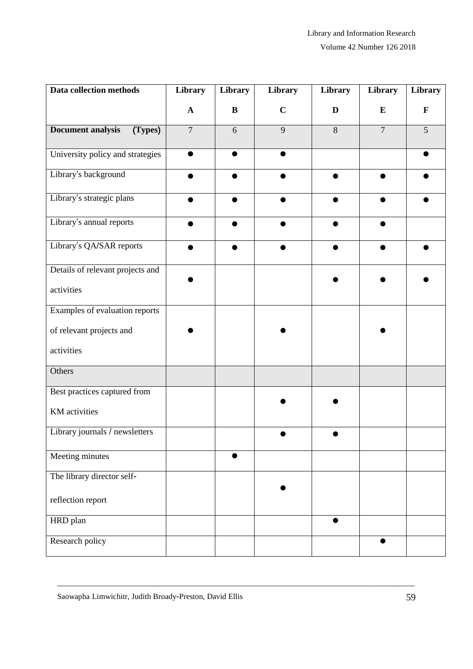Volume 42 Number 126 2018

| Data collection methods             | Library        | Library | Library     | Library | Library        | Library      |
|-------------------------------------|----------------|---------|-------------|---------|----------------|--------------|
|                                     | $\mathbf{A}$   | B       | $\mathbf C$ | D       | $\bf{E}$       | $\mathbf{F}$ |
| <b>Document analysis</b><br>(Types) | $\overline{7}$ | 6       | 9           | 8       | $\overline{7}$ | 5            |
| University policy and strategies    |                | ●       | ●           |         |                |              |
| Library's background                |                |         |             |         |                |              |
| Library's strategic plans           |                |         |             |         |                |              |
| Library's annual reports            |                |         |             |         |                |              |
| Library's QA/SAR reports            |                |         |             |         |                |              |
| Details of relevant projects and    |                |         |             |         |                |              |
| activities                          |                |         |             |         |                |              |
| Examples of evaluation reports      |                |         |             |         |                |              |
| of relevant projects and            |                |         |             |         |                |              |
| activities                          |                |         |             |         |                |              |
| Others                              |                |         |             |         |                |              |
| Best practices captured from        |                |         |             |         |                |              |
| KM activities                       |                |         |             |         |                |              |
| Library journals / newsletters      |                |         |             |         |                |              |
| Meeting minutes                     |                |         |             |         |                |              |
| The library director self-          |                |         |             |         |                |              |
| reflection report                   |                |         |             |         |                |              |
| HRD plan                            |                |         |             |         |                |              |
| Research policy                     |                |         |             |         | $\bullet$      |              |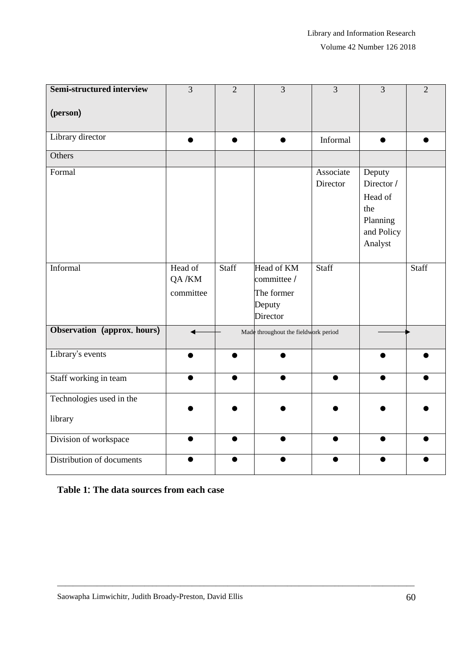| <b>Semi-structured interview</b>    | 3                             | $\overline{2}$ | $\overline{3}$                                                | 3                     | 3                                                                           | $\overline{2}$ |
|-------------------------------------|-------------------------------|----------------|---------------------------------------------------------------|-----------------------|-----------------------------------------------------------------------------|----------------|
| (person)                            |                               |                |                                                               |                       |                                                                             |                |
| Library director                    | $\bullet$                     | $\bullet$      |                                                               | Informal              | $\bullet$                                                                   |                |
| Others                              |                               |                |                                                               |                       |                                                                             |                |
| Formal                              |                               |                |                                                               | Associate<br>Director | Deputy<br>Director /<br>Head of<br>the<br>Planning<br>and Policy<br>Analyst |                |
| Informal                            | Head of<br>QA/KM<br>committee | Staff          | Head of KM<br>committee /<br>The former<br>Deputy<br>Director | Staff                 |                                                                             | Staff          |
| Observation (approx. hours)         |                               |                | Made throughout the fieldwork period                          |                       |                                                                             |                |
| Library's events                    |                               |                |                                                               |                       |                                                                             |                |
| Staff working in team               |                               |                |                                                               |                       |                                                                             |                |
| Technologies used in the<br>library |                               |                |                                                               |                       |                                                                             |                |
| Division of workspace               |                               |                |                                                               | $\bullet$             |                                                                             |                |
| Distribution of documents           |                               |                |                                                               |                       |                                                                             |                |

\_\_\_\_\_\_\_\_\_\_\_\_\_\_\_\_\_\_\_\_\_\_\_\_\_\_\_\_\_\_\_\_\_\_\_\_\_\_\_\_\_\_\_\_\_\_\_\_\_\_\_\_\_\_\_\_\_\_\_\_\_\_\_\_\_\_\_\_\_\_\_\_\_\_\_\_\_\_\_\_\_\_\_\_\_\_\_\_\_\_

# **Table 1**: **The data sources from each case**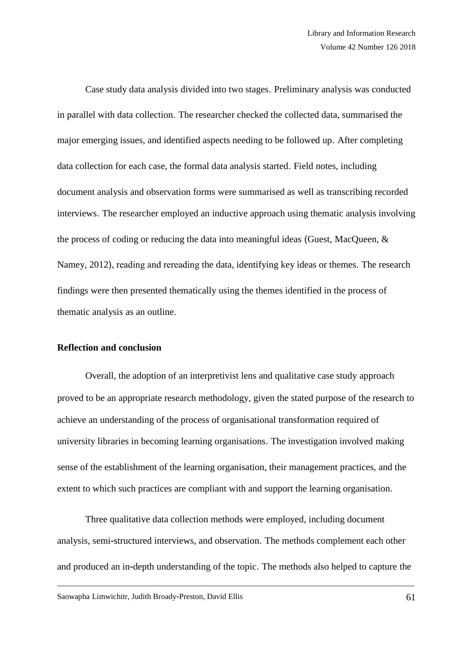Case study data analysis divided into two stages. Preliminary analysis was conducted in parallel with data collection. The researcher checked the collected data, summarised the major emerging issues, and identified aspects needing to be followed up. After completing data collection for each case, the formal data analysis started. Field notes, including document analysis and observation forms were summarised as well as transcribing recorded interviews. The researcher employed an inductive approach using thematic analysis involving the process of coding or reducing the data into meaningful ideas (Guest, MacQueen, & Namey, 2012), reading and rereading the data, identifying key ideas or themes. The research findings were then presented thematically using the themes identified in the process of thematic analysis as an outline.

### **Reflection and conclusion**

Overall, the adoption of an interpretivist lens and qualitative case study approach proved to be an appropriate research methodology, given the stated purpose of the research to achieve an understanding of the process of organisational transformation required of university libraries in becoming learning organisations. The investigation involved making sense of the establishment of the learning organisation, their management practices, and the extent to which such practices are compliant with and support the learning organisation.

Three qualitative data collection methods were employed, including document analysis, semi-structured interviews, and observation. The methods complement each other and produced an in-depth understanding of the topic. The methods also helped to capture the

\_\_\_\_\_\_\_\_\_\_\_\_\_\_\_\_\_\_\_\_\_\_\_\_\_\_\_\_\_\_\_\_\_\_\_\_\_\_\_\_\_\_\_\_\_\_\_\_\_\_\_\_\_\_\_\_\_\_\_\_\_\_\_\_\_\_\_\_\_\_\_\_\_\_\_\_\_\_\_\_\_\_\_\_\_\_\_\_\_\_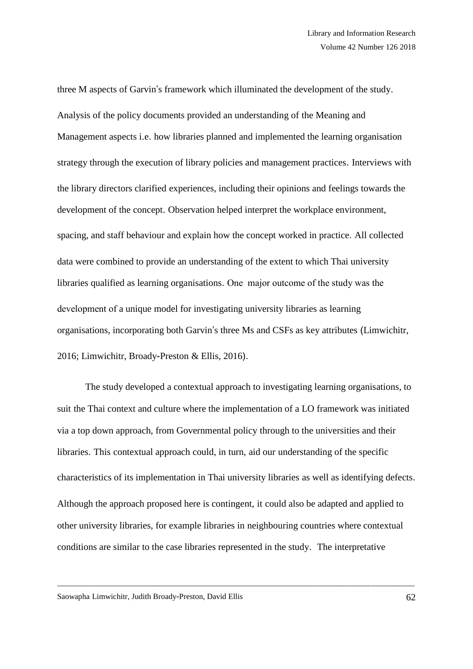three M aspects of Garvin's framework which illuminated the development of the study. Analysis of the policy documents provided an understanding of the Meaning and Management aspects i.e. how libraries planned and implemented the learning organisation strategy through the execution of library policies and management practices. Interviews with the library directors clarified experiences, including their opinions and feelings towards the development of the concept. Observation helped interpret the workplace environment, spacing, and staff behaviour and explain how the concept worked in practice. All collected data were combined to provide an understanding of the extent to which Thai university libraries qualified as learning organisations. One major outcome of the study was the development of a unique model for investigating university libraries as learning organisations, incorporating both Garvin's three Ms and CSFs as key attributes (Limwichitr, 2016; Limwichitr, Broady-Preston & Ellis, 2016).

The study developed a contextual approach to investigating learning organisations, to suit the Thai context and culture where the implementation of a LO framework was initiated via a top down approach, from Governmental policy through to the universities and their libraries. This contextual approach could, in turn, aid our understanding of the specific characteristics of its implementation in Thai university libraries as well as identifying defects. Although the approach proposed here is contingent, it could also be adapted and applied to other university libraries, for example libraries in neighbouring countries where contextual conditions are similar to the case libraries represented in the study. The interpretative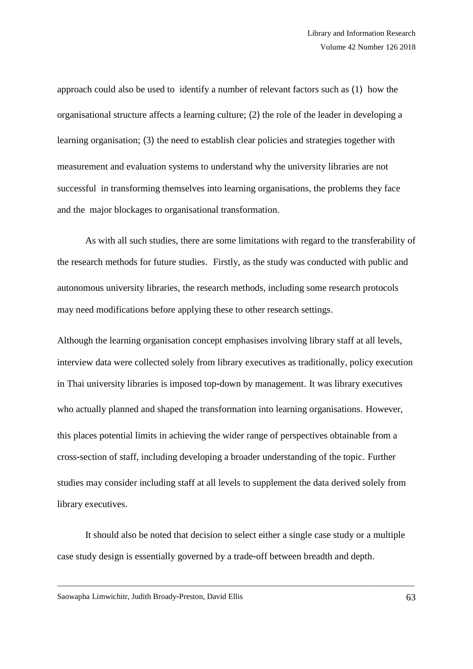approach could also be used to identify a number of relevant factors such as (1) how the organisational structure affects a learning culture; (2) the role of the leader in developing a learning organisation; (3) the need to establish clear policies and strategies together with measurement and evaluation systems to understand why the university libraries are not successful in transforming themselves into learning organisations, the problems they face and the major blockages to organisational transformation.

As with all such studies, there are some limitations with regard to the transferability of the research methods for future studies. Firstly, as the study was conducted with public and autonomous university libraries, the research methods, including some research protocols may need modifications before applying these to other research settings.

Although the learning organisation concept emphasises involving library staff at all levels, interview data were collected solely from library executives as traditionally, policy execution in Thai university libraries is imposed top-down by management. It was library executives who actually planned and shaped the transformation into learning organisations. However, this places potential limits in achieving the wider range of perspectives obtainable from a cross-section of staff, including developing a broader understanding of the topic. Further studies may consider including staff at all levels to supplement the data derived solely from library executives.

It should also be noted that decision to select either a single case study or a multiple case study design is essentially governed by a trade-off between breadth and depth.

\_\_\_\_\_\_\_\_\_\_\_\_\_\_\_\_\_\_\_\_\_\_\_\_\_\_\_\_\_\_\_\_\_\_\_\_\_\_\_\_\_\_\_\_\_\_\_\_\_\_\_\_\_\_\_\_\_\_\_\_\_\_\_\_\_\_\_\_\_\_\_\_\_\_\_\_\_\_\_\_\_\_\_\_\_\_\_\_\_\_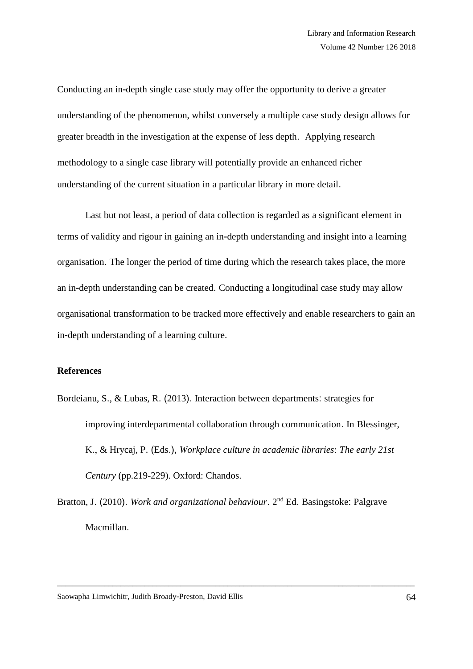Conducting an in-depth single case study may offer the opportunity to derive a greater understanding of the phenomenon, whilst conversely a multiple case study design allows for greater breadth in the investigation at the expense of less depth. Applying research methodology to a single case library will potentially provide an enhanced richer understanding of the current situation in a particular library in more detail.

Last but not least, a period of data collection is regarded as a significant element in terms of validity and rigour in gaining an in-depth understanding and insight into a learning organisation. The longer the period of time during which the research takes place, the more an in-depth understanding can be created. Conducting a longitudinal case study may allow organisational transformation to be tracked more effectively and enable researchers to gain an in-depth understanding of a learning culture.

# **References**

- Bordeianu, S., & Lubas, R. (2013). Interaction between departments: strategies for improving interdepartmental collaboration through communication. In Blessinger, K., & Hrycaj, P. (Eds.), *Workplace culture in academic libraries*: *The early 21st Century* (pp.219-229). Oxford: Chandos.
- Bratton, J. (2010). *Work and organizational behaviour*. 2<sup>nd</sup> Ed. Basingstoke: Palgrave Macmillan.

\_\_\_\_\_\_\_\_\_\_\_\_\_\_\_\_\_\_\_\_\_\_\_\_\_\_\_\_\_\_\_\_\_\_\_\_\_\_\_\_\_\_\_\_\_\_\_\_\_\_\_\_\_\_\_\_\_\_\_\_\_\_\_\_\_\_\_\_\_\_\_\_\_\_\_\_\_\_\_\_\_\_\_\_\_\_\_\_\_\_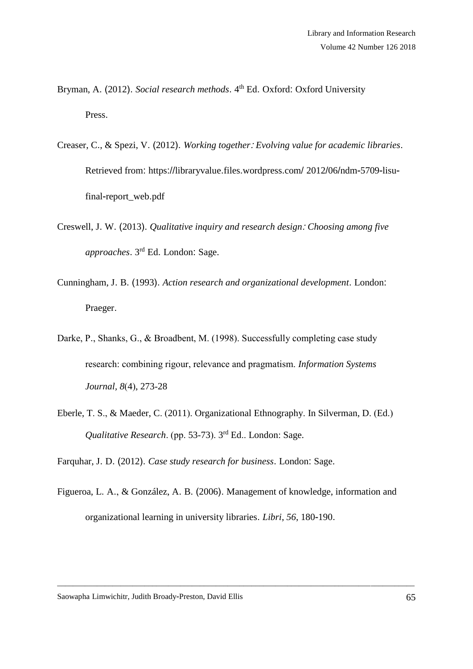- Bryman, A. (2012). *Social research methods*. 4<sup>th</sup> Ed. Oxford: Oxford University Press.
- Creaser, C., & Spezi, V. (2012). *Working together*: *Evolving value for academic libraries*. Retrieved from: https://libraryvalue.files.wordpress.com/ 2012/06/ndm-5709-lisufinal-report\_web.pdf
- Creswell, J. W. (2013). *Qualitative inquiry and research design*: *Choosing among five approaches*. 3 rd Ed. London: Sage.
- Cunningham, J. B. (1993). *Action research and organizational development*. London: Praeger.
- Darke, P., Shanks, G., & Broadbent, M. (1998). Successfully completing case study research: combining rigour, relevance and pragmatism. *Information Systems Journal, 8*(4), 273-28
- Eberle, T. S., & Maeder, C. (2011). Organizational Ethnography. In Silverman, D. (Ed.) *Qualitative Research*. (pp. 53-73). 3 rd Ed.. London: Sage.

Farquhar, J. D. (2012). *Case study research for business*. London: Sage.

Figueroa, L. A., & González, A. B. (2006). Management of knowledge, information and organizational learning in university libraries. *Libri*, *56*, 180-190.

\_\_\_\_\_\_\_\_\_\_\_\_\_\_\_\_\_\_\_\_\_\_\_\_\_\_\_\_\_\_\_\_\_\_\_\_\_\_\_\_\_\_\_\_\_\_\_\_\_\_\_\_\_\_\_\_\_\_\_\_\_\_\_\_\_\_\_\_\_\_\_\_\_\_\_\_\_\_\_\_\_\_\_\_\_\_\_\_\_\_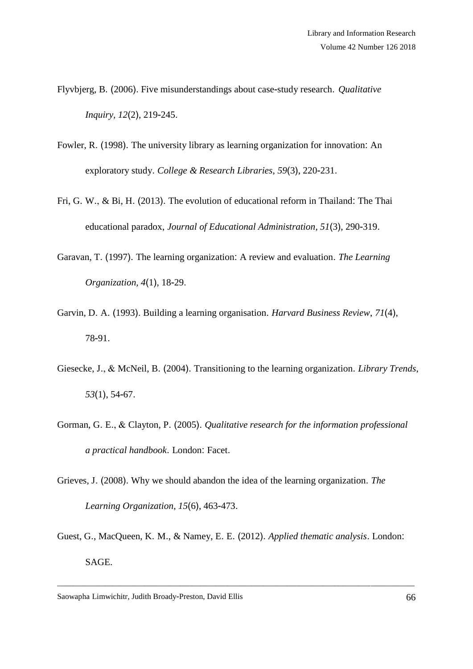- Flyvbjerg, B. (2006). Five misunderstandings about case-study research. *Qualitative Inquiry, 12*(2), 219-245.
- Fowler, R. (1998). The university library as learning organization for innovation: An exploratory study. *College & Research Libraries*, *59*(3), 220-231.
- Fri, G. W., & Bi, H. (2013). The evolution of educational reform in Thailand: The Thai educational paradox, *Journal of Educational Administration*, *51*(3), 290-319.
- Garavan, T. (1997). The learning organization: A review and evaluation. *The Learning Organization, 4*(1), 18-29.
- Garvin, D. A. (1993). Building a learning organisation. *Harvard Business Review*, *71*(4), 78-91.
- Giesecke, J., & McNeil, B. (2004). Transitioning to the learning organization. *Library Trends*, *53*(1), 54-67.
- Gorman, G. E., & Clayton, P. (2005). *Qualitative research for the information professional a practical handbook*. London: Facet.
- Grieves, J. (2008). Why we should abandon the idea of the learning organization. *The Learning Organization*, *15*(6), 463-473.
- Guest, G., MacQueen, K. M., & Namey, E. E. (2012). *Applied thematic analysis*. London: SAGE.

\_\_\_\_\_\_\_\_\_\_\_\_\_\_\_\_\_\_\_\_\_\_\_\_\_\_\_\_\_\_\_\_\_\_\_\_\_\_\_\_\_\_\_\_\_\_\_\_\_\_\_\_\_\_\_\_\_\_\_\_\_\_\_\_\_\_\_\_\_\_\_\_\_\_\_\_\_\_\_\_\_\_\_\_\_\_\_\_\_\_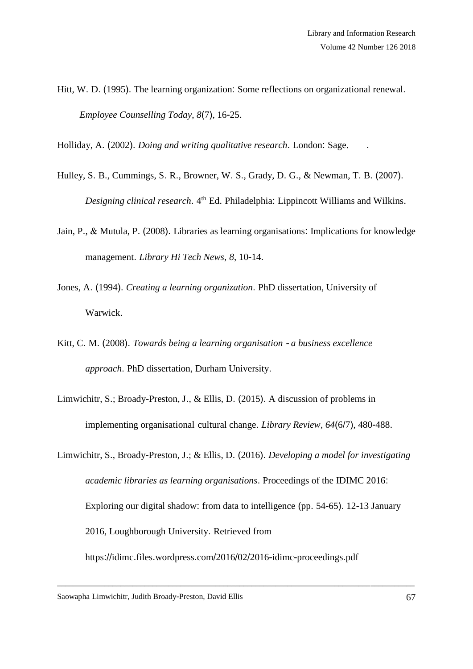Hitt, W. D. (1995). The learning organization: Some reflections on organizational renewal. *Employee Counselling Today*, *8*(7), 16-25.

Holliday, A. (2002). *Doing and writing qualitative research*. London: Sage. .

- Hulley, S. B., Cummings, S. R., Browner, W. S., Grady, D. G., & Newman, T. B. (2007). Designing clinical research. 4<sup>th</sup> Ed. Philadelphia: Lippincott Williams and Wilkins.
- Jain, P., & Mutula, P. (2008). Libraries as learning organisations: Implications for knowledge management. *Library Hi Tech News*, *8*, 10-14.
- Jones, A. (1994). *Creating a learning organization*. PhD dissertation, University of Warwick.
- Kitt, C. M. (2008). *Towards being a learning organisation a business excellence approach*. PhD dissertation, Durham University.
- Limwichitr, S.; Broady-Preston, J., & Ellis, D. (2015). A discussion of problems in implementing organisational cultural change. *Library Review*, *64*(6/7), 480-488.
- Limwichitr, S., Broady-Preston, J.; & Ellis, D. (2016). *Developing a model for investigating academic libraries as learning organisations*. Proceedings of the IDIMC 2016: Exploring our digital shadow: from data to intelligence (pp. 54-65). 12-13 January 2016, Loughborough University. Retrieved from https://idimc.files.wordpress.com/2016/02/2016-idimc-proceedings.pdf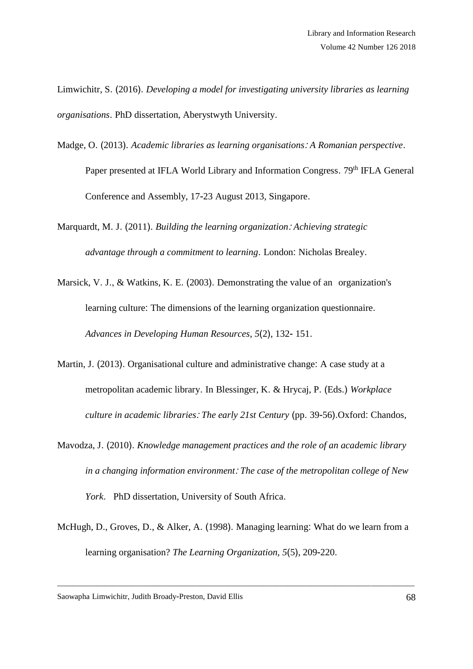Limwichitr, S. (2016). *Developing a model for investigating university libraries as learning organisations*. PhD dissertation, Aberystwyth University.

Madge, O. (2013). *Academic libraries as learning organisations*: *A Romanian perspective*.

Paper presented at IFLA World Library and Information Congress. 79<sup>th</sup> IFLA General Conference and Assembly, 17-23 August 2013, Singapore.

Marquardt, M. J. (2011). *Building the learning organization*: *Achieving strategic advantage through a commitment to learning*. London: Nicholas Brealey.

- Marsick, V. J., & Watkins, K. E. (2003). Demonstrating the value of an organization's learning culture: The dimensions of the learning organization questionnaire. *Advances in Developing Human Resources*, *5*(2), 132- 151.
- Martin, J. (2013). Organisational culture and administrative change: A case study at a metropolitan academic library. In Blessinger, K. & Hrycaj, P. (Eds.) *Workplace culture in academic libraries*: *The early 21st Century* (pp. 39-56).Oxford: Chandos,
- Mavodza, J. (2010). *Knowledge management practices and the role of an academic library in a changing information environment*: *The case of the metropolitan college of New York*. PhD dissertation, University of South Africa.
- McHugh, D., Groves, D., & Alker, A. (1998). Managing learning: What do we learn from a learning organisation? *The Learning Organization, 5*(5), 209-220.

\_\_\_\_\_\_\_\_\_\_\_\_\_\_\_\_\_\_\_\_\_\_\_\_\_\_\_\_\_\_\_\_\_\_\_\_\_\_\_\_\_\_\_\_\_\_\_\_\_\_\_\_\_\_\_\_\_\_\_\_\_\_\_\_\_\_\_\_\_\_\_\_\_\_\_\_\_\_\_\_\_\_\_\_\_\_\_\_\_\_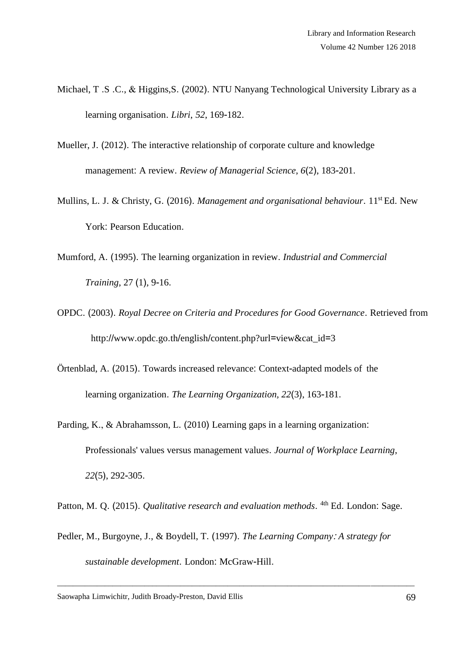- Michael, T .S .C., & Higgins,S. (2002). NTU Nanyang Technological University Library as a learning organisation. *Libri*, *52*, 169-182.
- Mueller, J. (2012). The interactive relationship of corporate culture and knowledge management: A review. *Review of Managerial Science*, *6*(2), 183-201.
- Mullins, L. J. & Christy, G. (2016). *Management and organisational behaviour*. 11st Ed. New York: Pearson Education.
- Mumford, A. (1995). The learning organization in review. *Industrial and Commercial Training*, 27 (1), 9-16.
- OPDC. (2003). *Royal Decree on Criteria and Procedures for Good Governance*. Retrieved from http://www.opdc.go.th/english/content.php?url=view&cat\_id=3
- Örtenblad, A. (2015). Towards increased relevance: Context-adapted models of the learning organization. *The Learning Organization, 22*(3), 163-181.
- Parding, K., & Abrahamsson, L. (2010) Learning gaps in a learning organization: Professionals' values versus management values. *Journal of Workplace Learning*, *22*(5), 292-305.

Patton, M. Q. (2015). *Qualitative research and evaluation methods*. <sup>4th</sup> Ed. London: Sage.

Pedler, M., Burgoyne, J., & Boydell, T. (1997). *The Learning Company*: *A strategy for sustainable development*. London: McGraw-Hill.

\_\_\_\_\_\_\_\_\_\_\_\_\_\_\_\_\_\_\_\_\_\_\_\_\_\_\_\_\_\_\_\_\_\_\_\_\_\_\_\_\_\_\_\_\_\_\_\_\_\_\_\_\_\_\_\_\_\_\_\_\_\_\_\_\_\_\_\_\_\_\_\_\_\_\_\_\_\_\_\_\_\_\_\_\_\_\_\_\_\_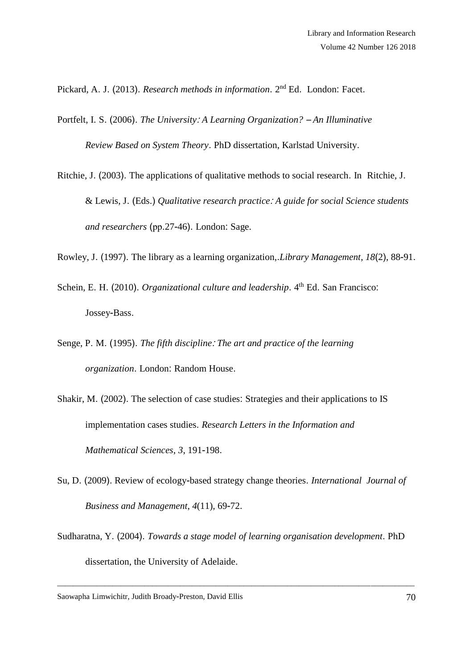Pickard, A. J. (2013). *Research methods in information*. 2<sup>nd</sup> Ed. London: Facet.

Portfelt, I. S. (2006). *The University*: *A Learning Organization?* – *An Illuminative Review Based on System Theory*. PhD dissertation, Karlstad University.

Ritchie, J. (2003). The applications of qualitative methods to social research. In Ritchie, J. & Lewis, J. (Eds.) *Qualitative research practice*: *A guide for social Science students and researchers* (pp.27-46). London: Sage.

Rowley, J. (1997). The library as a learning organization,.*Library Management*, *18*(2), 88-91.

Schein, E. H. (2010). *Organizational culture and leadership*. 4<sup>th</sup> Ed. San Francisco: Jossey-Bass.

- Senge, P. M. (1995). *The fifth discipline*: *The art and practice of the learning organization*. London: Random House.
- Shakir, M. (2002). The selection of case studies: Strategies and their applications to IS implementation cases studies. *Research Letters in the Information and Mathematical Sciences*, *3*, 191-198.
- Su, D. (2009). Review of ecology-based strategy change theories. *International Journal of Business and Management*, *4*(11), 69-72.
- Sudharatna, Y. (2004). *Towards a stage model of learning organisation development*. PhD dissertation, the University of Adelaide.

\_\_\_\_\_\_\_\_\_\_\_\_\_\_\_\_\_\_\_\_\_\_\_\_\_\_\_\_\_\_\_\_\_\_\_\_\_\_\_\_\_\_\_\_\_\_\_\_\_\_\_\_\_\_\_\_\_\_\_\_\_\_\_\_\_\_\_\_\_\_\_\_\_\_\_\_\_\_\_\_\_\_\_\_\_\_\_\_\_\_